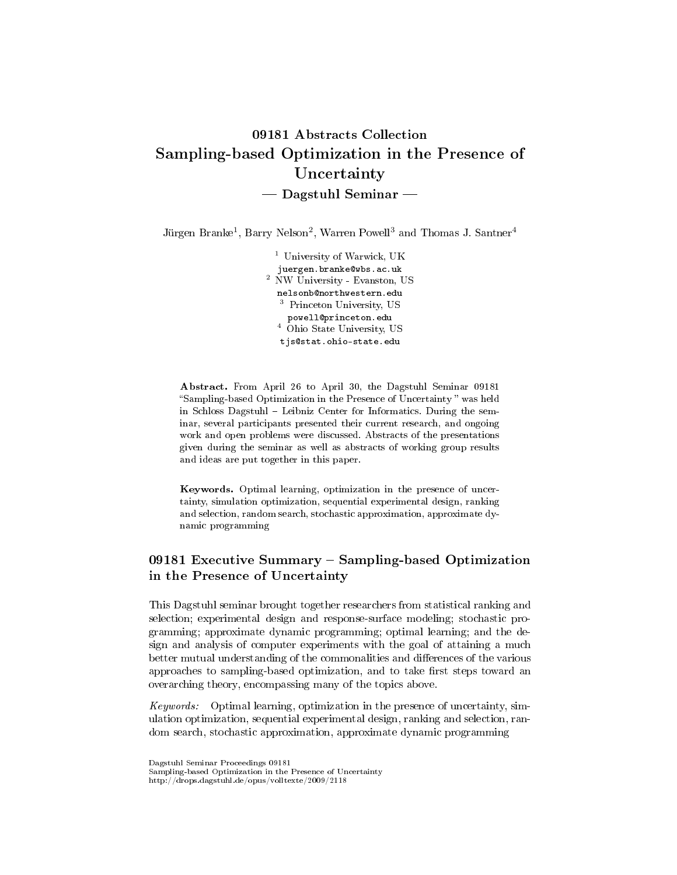# 09181 Abstracts Collection Sampling-based Optimization in the Presence of Uncertainty  $-$  Dagstuhl Seminar  $-$

Jürgen Branke<sup>1</sup>, Barry Nelson<sup>2</sup>, Warren Powell<sup>3</sup> and Thomas J. Santner<sup>4</sup>

<sup>1</sup> University of Warwick, UK juergen.branke@wbs.ac.uk <sup>2</sup> NW University - Evanston, US nelsonb@northwestern.edu <sup>3</sup> Princeton University, US powell@princeton.edu <sup>4</sup> Ohio State University, US tjs@stat.ohio-state.edu

Abstract. From April 26 to April 30, the Dagstuhl Seminar 09181 Sampling-based Optimization in the Presence of Uncertainty was held in Schloss Dagstuhl – Leibniz Center for Informatics. During the seminar, several participants presented their current research, and ongoing work and open problems were discussed. Abstracts of the presentations given during the seminar as well as abstracts of working group results and ideas are put together in this paper.

Keywords. Optimal learning, optimization in the presence of uncertainty, simulation optimization, sequential experimental design, ranking and selection, random search, stochastic approximation, approximate dynamic programming

# 09181 Executive Summary - Sampling-based Optimization in the Presence of Uncertainty

This Dagstuhl seminar brought together researchers from statistical ranking and selection; experimental design and response-surface modeling; stochastic programming; approximate dynamic programming; optimal learning; and the design and analysis of computer experiments with the goal of attaining a much better mutual understanding of the commonalities and differences of the various approaches to sampling-based optimization, and to take first steps toward an overarching theory, encompassing many of the topics above.

Keywords: Optimal learning, optimization in the presence of uncertainty, simulation optimization, sequential experimental design, ranking and selection, random search, stochastic approximation, approximate dynamic programming

Dagstuhl Seminar Proceedings 09181

Sampling-based Optimization in the Presence of Uncertainty

http://drops.dagstuhl.de/opus/volltexte/2009/2118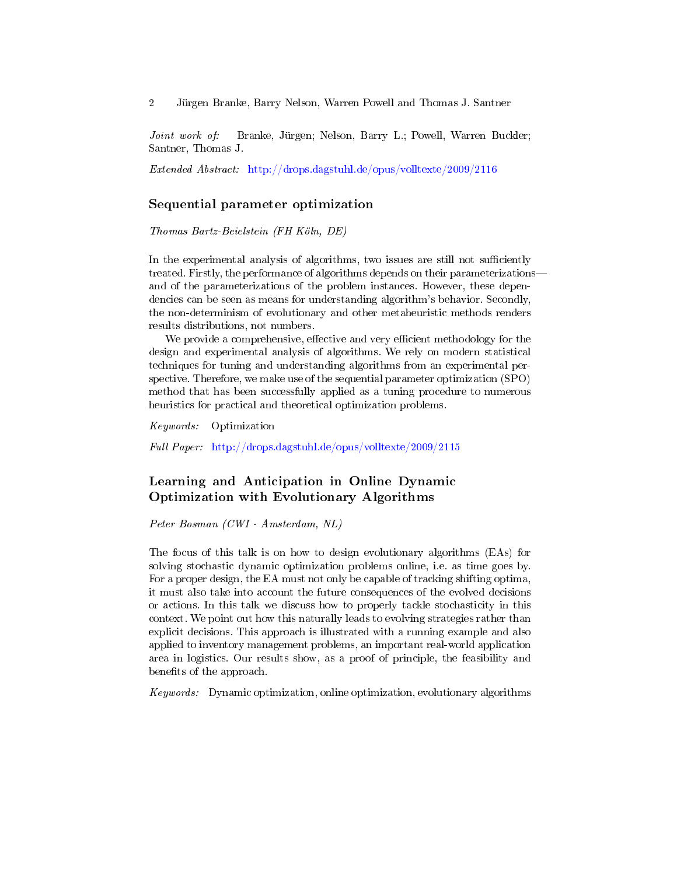Joint work of: Branke, Jürgen; Nelson, Barry L.; Powell, Warren Buckler; Santner, Thomas J.

Extended Abstract: <http://drops.dagstuhl.de/opus/volltexte/2009/2116>

#### Sequential parameter optimization

Thomas Bartz-Beielstein (FH Köln, DE)

In the experimental analysis of algorithms, two issues are still not sufficiently treated. Firstly, the performance of algorithms depends on their parameterizations and of the parameterizations of the problem instances. However, these dependencies can be seen as means for understanding algorithm's behavior. Secondly, the non-determinism of evolutionary and other metaheuristic methods renders results distributions, not numbers.

We provide a comprehensive, effective and very efficient methodology for the design and experimental analysis of algorithms. We rely on modern statistical techniques for tuning and understanding algorithms from an experimental perspective. Therefore, we make use of the sequential parameter optimization (SPO) method that has been successfully applied as a tuning procedure to numerous heuristics for practical and theoretical optimization problems.

Keywords: Optimization

Full Paper: <http://drops.dagstuhl.de/opus/volltexte/2009/2115>

# Learning and Anticipation in Online Dynamic Optimization with Evolutionary Algorithms

Peter Bosman (CWI - Amsterdam, NL)

The focus of this talk is on how to design evolutionary algorithms (EAs) for solving stochastic dynamic optimization problems online, i.e. as time goes by. For a proper design, the EA must not only be capable of tracking shifting optima, it must also take into account the future consequences of the evolved decisions or actions. In this talk we discuss how to properly tackle stochasticity in this context. We point out how this naturally leads to evolving strategies rather than explicit decisions. This approach is illustrated with a running example and also applied to inventory management problems, an important real-world application area in logistics. Our results show, as a proof of principle, the feasibility and benefits of the approach.

Keywords: Dynamic optimization, online optimization, evolutionary algorithms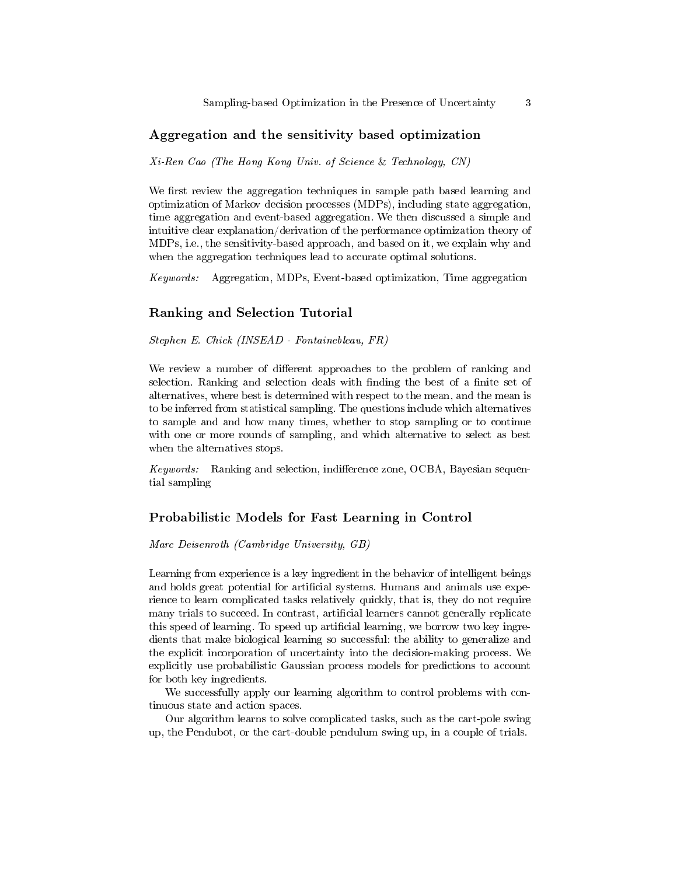## Aggregation and the sensitivity based optimization

Xi-Ren Cao (The Hong Kong Univ. of Science & Technology, CN)

We first review the aggregation techniques in sample path based learning and optimization of Markov decision processes (MDPs), including state aggregation, time aggregation and event-based aggregation. We then discussed a simple and intuitive clear explanation/derivation of the performance optimization theory of MDPs, i.e., the sensitivity-based approach, and based on it, we explain why and when the aggregation techniques lead to accurate optimal solutions.

Keywords: Aggregation, MDPs, Event-based optimization, Time aggregation

#### Ranking and Selection Tutorial

Stephen E. Chick (INSEAD - Fontainebleau, FR)

We review a number of different approaches to the problem of ranking and selection. Ranking and selection deals with finding the best of a finite set of alternatives, where best is determined with respect to the mean, and the mean is to be inferred from statistical sampling. The questions include which alternatives to sample and and how many times, whether to stop sampling or to continue with one or more rounds of sampling, and which alternative to select as best when the alternatives stops.

 $Keywords:$  Ranking and selection, indifference zone, OCBA, Bayesian sequential sampling

### Probabilistic Models for Fast Learning in Control

Marc Deisenroth (Cambridge University, GB)

Learning from experience is a key ingredient in the behavior of intelligent beings and holds great potential for artificial systems. Humans and animals use experience to learn complicated tasks relatively quickly, that is, they do not require many trials to succeed. In contrast, artificial learners cannot generally replicate this speed of learning. To speed up artificial learning, we borrow two key ingredients that make biological learning so successful: the ability to generalize and the explicit incorporation of uncertainty into the decision-making process. We explicitly use probabilistic Gaussian process models for predictions to account for both key ingredients.

We successfully apply our learning algorithm to control problems with continuous state and action spaces.

Our algorithm learns to solve complicated tasks, such as the cart-pole swing up, the Pendubot, or the cart-double pendulum swing up, in a couple of trials.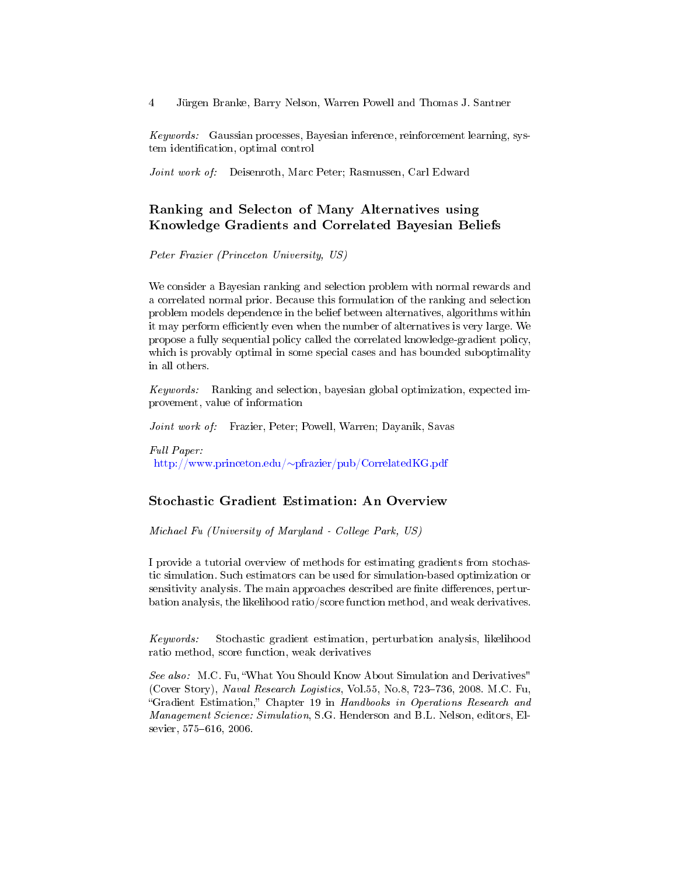Keywords: Gaussian processes, Bayesian inference, reinforcement learning, system identification, optimal control

Joint work of: Deisenroth, Marc Peter; Rasmussen, Carl Edward

# Ranking and Selecton of Many Alternatives using Knowledge Gradients and Correlated Bayesian Beliefs

Peter Frazier (Princeton University, US)

We consider a Bayesian ranking and selection problem with normal rewards and a correlated normal prior. Because this formulation of the ranking and selection problem models dependence in the belief between alternatives, algorithms within it may perform efficiently even when the number of alternatives is very large. We propose a fully sequential policy called the correlated knowledge-gradient policy, which is provably optimal in some special cases and has bounded suboptimality in all others.

Keywords: Ranking and selection, bayesian global optimization, expected improvement, value of information

Joint work of: Frazier, Peter; Powell, Warren; Dayanik, Savas

Full Paper: http://www.princeton.edu/∼[pfrazier/pub/CorrelatedKG.pdf](http://www.princeton.edu/~pfrazier/pub/CorrelatedKG.pdf)

#### Stochastic Gradient Estimation: An Overview

Michael Fu (University of Maryland - College Park, US)

I provide a tutorial overview of methods for estimating gradients from stochastic simulation. Such estimators can be used for simulation-based optimization or sensitivity analysis. The main approaches described are finite differences, perturbation analysis, the likelihood ratio/score function method, and weak derivatives.

Keywords: Stochastic gradient estimation, perturbation analysis, likelihood ratio method, score function, weak derivatives

See also: M.C. Fu, "What You Should Know About Simulation and Derivatives" (Cover Story), Naval Research Logistics, Vol.55, No.8, 723–736, 2008. M.C. Fu, "Gradient Estimation," Chapter 19 in Handbooks in Operations Research and Management Science: Simulation, S.G. Henderson and B.L. Nelson, editors, Elsevier, 575-616, 2006.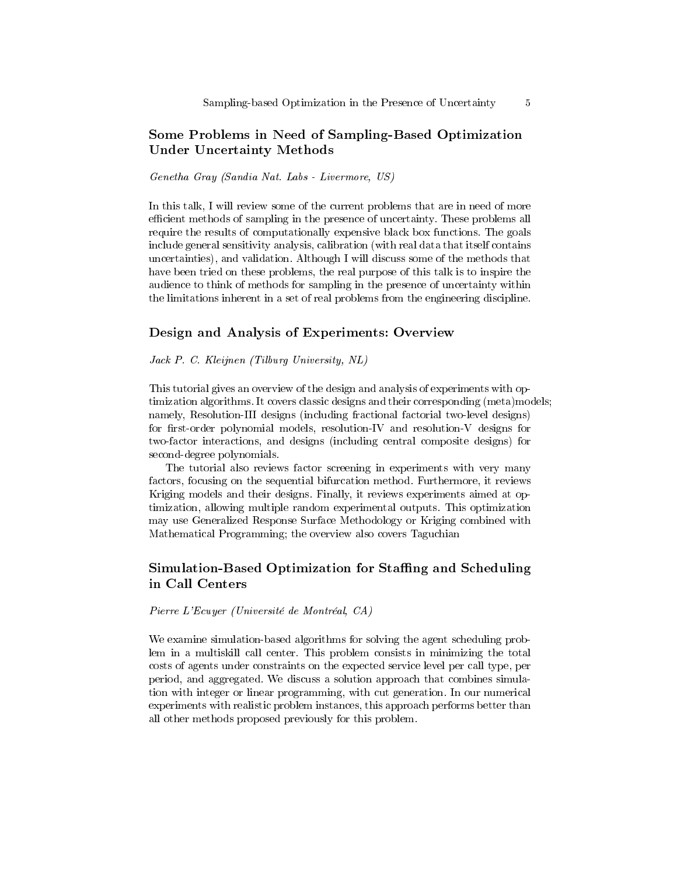# Some Problems in Need of Sampling-Based Optimization Under Uncertainty Methods

Genetha Gray (Sandia Nat. Labs - Livermore, US)

In this talk, I will review some of the current problems that are in need of more efficient methods of sampling in the presence of uncertainty. These problems all require the results of computationally expensive black box functions. The goals include general sensitivity analysis, calibration (with real data that itself contains uncertainties), and validation. Although I will discuss some of the methods that have been tried on these problems, the real purpose of this talk is to inspire the audience to think of methods for sampling in the presence of uncertainty within the limitations inherent in a set of real problems from the engineering discipline.

#### Design and Analysis of Experiments: Overview

Jack P. C. Kleijnen (Tilburg University, NL)

This tutorial gives an overview of the design and analysis of experiments with optimization algorithms. It covers classic designs and their corresponding (meta)models; namely, Resolution-III designs (including fractional factorial two-level designs) for first-order polynomial models, resolution-IV and resolution-V designs for two-factor interactions, and designs (including central composite designs) for second-degree polynomials.

The tutorial also reviews factor screening in experiments with very many factors, focusing on the sequential bifurcation method. Furthermore, it reviews Kriging models and their designs. Finally, it reviews experiments aimed at optimization, allowing multiple random experimental outputs. This optimization may use Generalized Response Surface Methodology or Kriging combined with Mathematical Programming; the overview also covers Taguchian

# Simulation-Based Optimization for Staffing and Scheduling in Call Centers

Pierre L'Ecuyer (Université de Montréal, CA)

We examine simulation-based algorithms for solving the agent scheduling problem in a multiskill call center. This problem consists in minimizing the total costs of agents under constraints on the expected service level per call type, per period, and aggregated. We discuss a solution approach that combines simulation with integer or linear programming, with cut generation. In our numerical experiments with realistic problem instances, this approach performs better than all other methods proposed previously for this problem.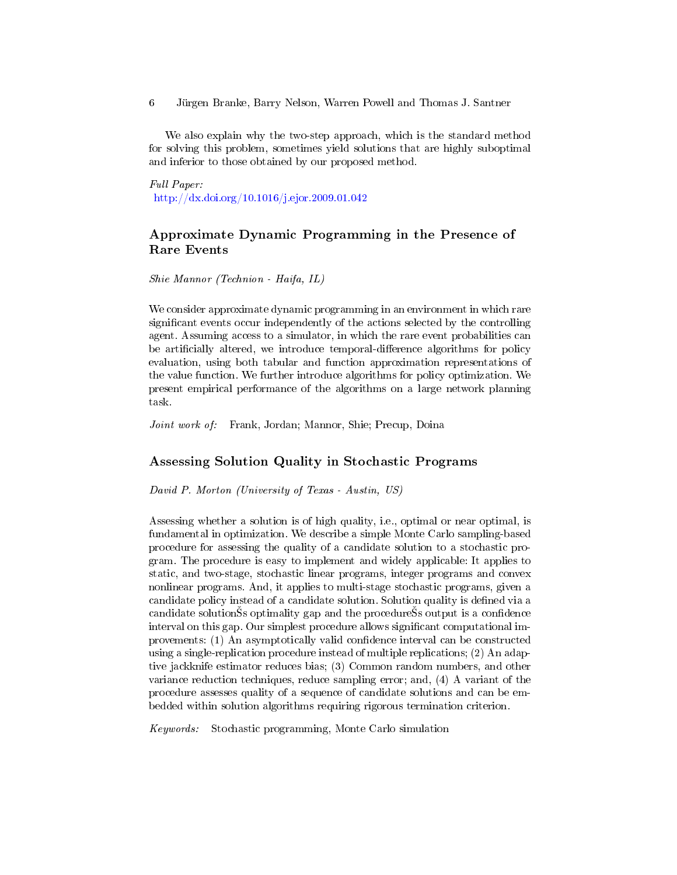We also explain why the two-step approach, which is the standard method for solving this problem, sometimes yield solutions that are highly suboptimal and inferior to those obtained by our proposed method.

Full Paper: <http://dx.doi.org/10.1016/j.ejor.2009.01.042>

# Approximate Dynamic Programming in the Presence of Rare Events

Shie Mannor (Technion - Haifa, IL)

We consider approximate dynamic programming in an environment in which rare significant events occur independently of the actions selected by the controlling agent. Assuming access to a simulator, in which the rare event probabilities can be artificially altered, we introduce temporal-difference algorithms for policy evaluation, using both tabular and function approximation representations of the value function. We further introduce algorithms for policy optimization. We present empirical performance of the algorithms on a large network planning task.

Joint work of: Frank, Jordan; Mannor, Shie; Precup, Doina

# Assessing Solution Quality in Stochastic Programs

David P. Morton (University of Texas - Austin, US)

Assessing whether a solution is of high quality, i.e., optimal or near optimal, is fundamental in optimization. We describe a simple Monte Carlo sampling-based procedure for assessing the quality of a candidate solution to a stochastic program. The procedure is easy to implement and widely applicable: It applies to static, and two-stage, stochastic linear programs, integer programs and convex nonlinear programs. And, it applies to multi-stage stochastic programs, given a candidate policy instead of a candidate solution. Solution quality is defined via a candidate solutionSs optimality gap and the procedureSs output is a confidence interval on this gap. Our simplest procedure allows signicant computational improvements: (1) An asymptotically valid confidence interval can be constructed using a single-replication procedure instead of multiple replications; (2) An adaptive jackknife estimator reduces bias; (3) Common random numbers, and other variance reduction techniques, reduce sampling error; and, (4) A variant of the procedure assesses quality of a sequence of candidate solutions and can be embedded within solution algorithms requiring rigorous termination criterion.

Keywords: Stochastic programming, Monte Carlo simulation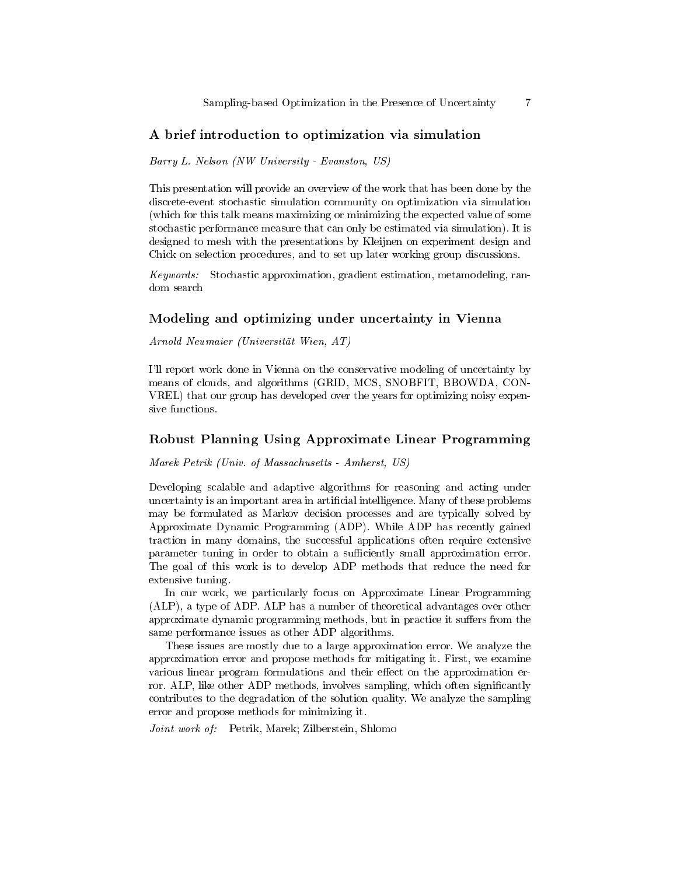## A brief introduction to optimization via simulation

Barry L. Nelson (NW University - Evanston, US)

This presentation will provide an overview of the work that has been done by the discrete-event stochastic simulation community on optimization via simulation (which for this talk means maximizing or minimizing the expected value of some stochastic performance measure that can only be estimated via simulation). It is designed to mesh with the presentations by Kleijnen on experiment design and Chick on selection procedures, and to set up later working group discussions.

Keywords: Stochastic approximation, gradient estimation, metamodeling, random search

## Modeling and optimizing under uncertainty in Vienna

Arnold Neumaier (Universität Wien, AT)

I'll report work done in Vienna on the conservative modeling of uncertainty by means of clouds, and algorithms (GRID, MCS, SNOBFIT, BBOWDA, CON-VREL) that our group has developed over the years for optimizing noisy expensive functions.

#### Robust Planning Using Approximate Linear Programming

Marek Petrik (Univ. of Massachusetts - Amherst, US)

Developing scalable and adaptive algorithms for reasoning and acting under uncertainty is an important area in artificial intelligence. Many of these problems may be formulated as Markov decision processes and are typically solved by Approximate Dynamic Programming (ADP). While ADP has recently gained traction in many domains, the successful applications often require extensive parameter tuning in order to obtain a sufficiently small approximation error. The goal of this work is to develop ADP methods that reduce the need for extensive tuning.

In our work, we particularly focus on Approximate Linear Programming (ALP), a type of ADP. ALP has a number of theoretical advantages over other approximate dynamic programming methods, but in practice it suffers from the same performance issues as other ADP algorithms.

These issues are mostly due to a large approximation error. We analyze the approximation error and propose methods for mitigating it. First, we examine various linear program formulations and their effect on the approximation error. ALP, like other ADP methods, involves sampling, which often significantly contributes to the degradation of the solution quality. We analyze the sampling error and propose methods for minimizing it.

Joint work of: Petrik, Marek; Zilberstein, Shlomo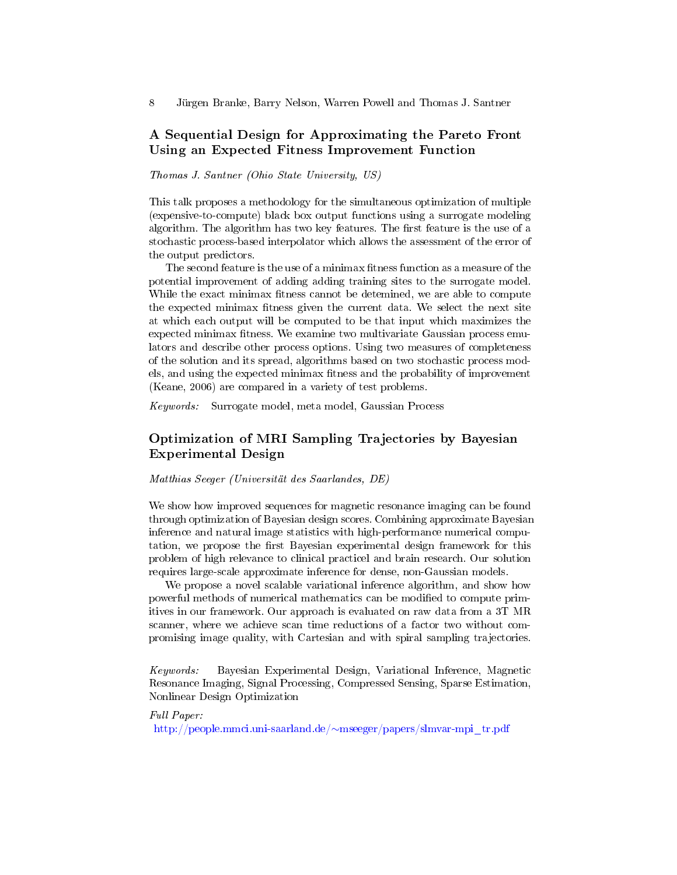# A Sequential Design for Approximating the Pareto Front Using an Expected Fitness Improvement Function

Thomas J. Santner (Ohio State University, US)

This talk proposes a methodology for the simultaneous optimization of multiple (expensive-to-compute) black box output functions using a surrogate modeling algorithm. The algorithm has two key features. The first feature is the use of a stochastic process-based interpolator which allows the assessment of the error of the output predictors.

The second feature is the use of a minimax fitness function as a measure of the potential improvement of adding adding training sites to the surrogate model. While the exact minimax fitness cannot be detemined, we are able to compute the expected minimax fitness given the current data. We select the next site at which each output will be computed to be that input which maximizes the expected minimax fitness. We examine two multivariate Gaussian process emulators and describe other process options. Using two measures of completeness of the solution and its spread, algorithms based on two stochastic process models, and using the expected minimax fitness and the probability of improvement (Keane, 2006) are compared in a variety of test problems.

Keywords: Surrogate model, meta model, Gaussian Process

# Optimization of MRI Sampling Trajectories by Bayesian Experimental Design

Matthias Seeger (Universität des Saarlandes, DE)

We show how improved sequences for magnetic resonance imaging can be found through optimization of Bayesian design scores. Combining approximate Bayesian inference and natural image statistics with high-performance numerical computation, we propose the first Bayesian experimental design framework for this problem of high relevance to clinical practicel and brain research. Our solution requires large-scale approximate inference for dense, non-Gaussian models.

We propose a novel scalable variational inference algorithm, and show how powerful methods of numerical mathematics can be modified to compute primitives in our framework. Our approach is evaluated on raw data from a 3T MR scanner, where we achieve scan time reductions of a factor two without compromising image quality, with Cartesian and with spiral sampling trajectories.

Keywords: Bayesian Experimental Design, Variational Inference, Magnetic Resonance Imaging, Signal Processing, Compressed Sensing, Sparse Estimation, Nonlinear Design Optimization

Full Paper: [http://people.mmci.uni-saarland.de/](http://people.mmci.uni-saarland.de/~mseeger/papers/slmvar-mpi_tr.pdf)∼mseeger/papers/slmvar-mpi\_tr.pdf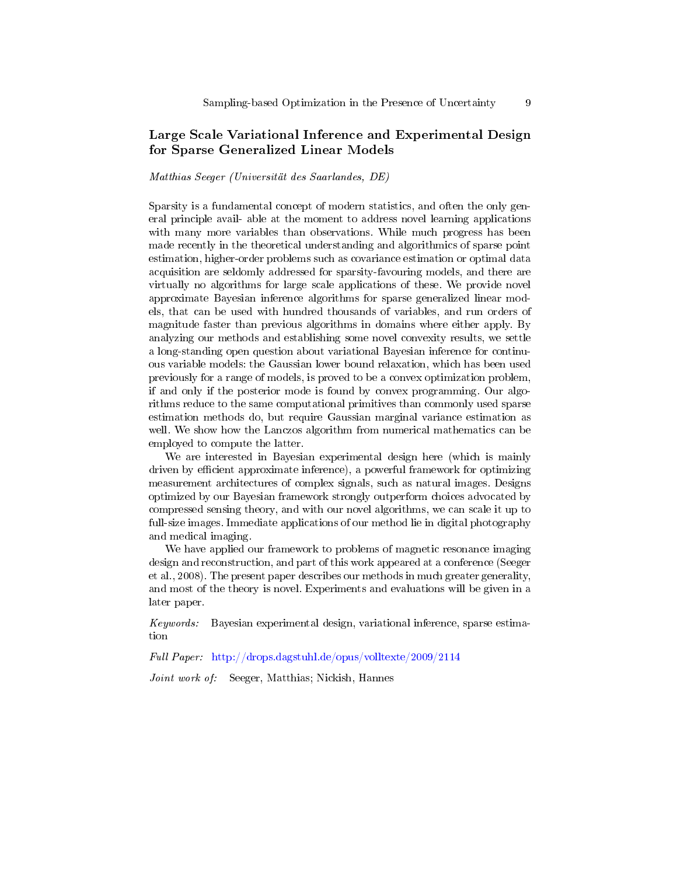# Large Scale Variational Inference and Experimental Design for Sparse Generalized Linear Models

#### Matthias Seeger (Universität des Saarlandes, DE)

Sparsity is a fundamental concept of modern statistics, and often the only general principle avail- able at the moment to address novel learning applications with many more variables than observations. While much progress has been made recently in the theoretical understanding and algorithmics of sparse point estimation, higher-order problems such as covariance estimation or optimal data acquisition are seldomly addressed for sparsity-favouring models, and there are virtually no algorithms for large scale applications of these. We provide novel approximate Bayesian inference algorithms for sparse generalized linear models, that can be used with hundred thousands of variables, and run orders of magnitude faster than previous algorithms in domains where either apply. By analyzing our methods and establishing some novel convexity results, we settle a long-standing open question about variational Bayesian inference for continuous variable models: the Gaussian lower bound relaxation, which has been used previously for a range of models, is proved to be a convex optimization problem, if and only if the posterior mode is found by convex programming. Our algorithms reduce to the same computational primitives than commonly used sparse estimation methods do, but require Gaussian marginal variance estimation as well. We show how the Lanczos algorithm from numerical mathematics can be employed to compute the latter.

We are interested in Bayesian experimental design here (which is mainly driven by efficient approximate inference), a powerful framework for optimizing measurement architectures of complex signals, such as natural images. Designs optimized by our Bayesian framework strongly outperform choices advocated by compressed sensing theory, and with our novel algorithms, we can scale it up to full-size images. Immediate applications of our method lie in digital photography and medical imaging.

We have applied our framework to problems of magnetic resonance imaging design and reconstruction, and part of this work appeared at a conference (Seeger et al., 2008). The present paper describes our methods in much greater generality, and most of the theory is novel. Experiments and evaluations will be given in a later paper.

Keywords: Bayesian experimental design, variational inference, sparse estimation

Full Paper: <http://drops.dagstuhl.de/opus/volltexte/2009/2114>

Joint work of: Seeger, Matthias; Nickish, Hannes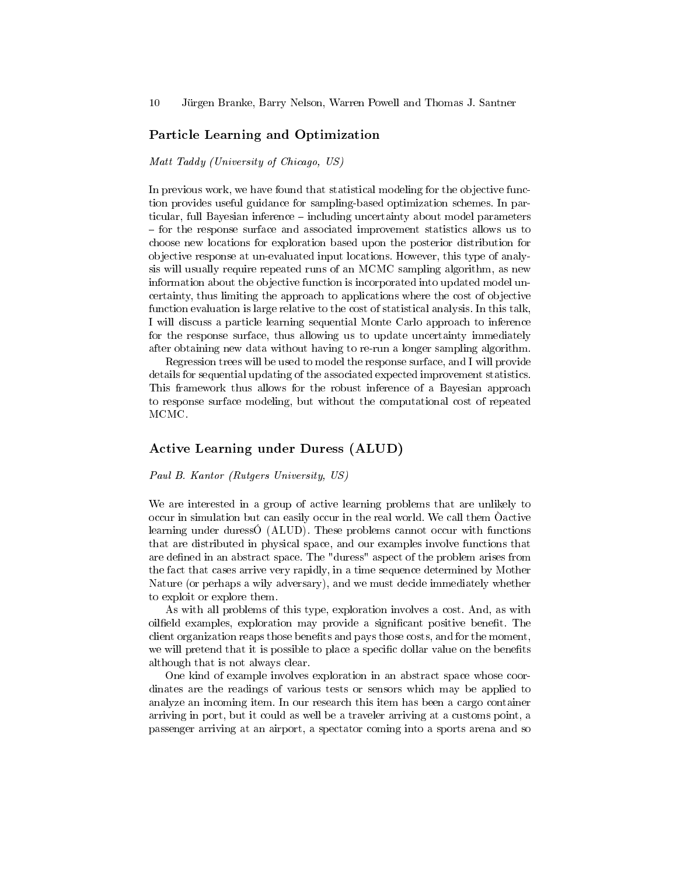#### Particle Learning and Optimization

#### Matt Taddy (University of Chicago, US)

In previous work, we have found that statistical modeling for the objective function provides useful guidance for sampling-based optimization schemes. In particular, full Bayesian inference - including uncertainty about model parameters for the response surface and associated improvement statistics allows us to choose new locations for exploration based upon the posterior distribution for objective response at un-evaluated input locations. However, this type of analysis will usually require repeated runs of an MCMC sampling algorithm, as new information about the objective function is incorporated into updated model uncertainty, thus limiting the approach to applications where the cost of objective function evaluation is large relative to the cost of statistical analysis. In this talk, I will discuss a particle learning sequential Monte Carlo approach to inference for the response surface, thus allowing us to update uncertainty immediately after obtaining new data without having to re-run a longer sampling algorithm.

Regression trees will be used to model the response surface, and I will provide details for sequential updating of the associated expected improvement statistics. This framework thus allows for the robust inference of a Bayesian approach to response surface modeling, but without the computational cost of repeated MCMC.

#### Active Learning under Duress (ALUD)

#### Paul B. Kantor (Rutgers University, US)

We are interested in a group of active learning problems that are unlikely to occur in simulation but can easily occur in the real world. We call them Òactive learning under duressÓ (ALUD). These problems cannot occur with functions that are distributed in physical space, and our examples involve functions that are defined in an abstract space. The "duress" aspect of the problem arises from the fact that cases arrive very rapidly, in a time sequence determined by Mother Nature (or perhaps a wily adversary), and we must decide immediately whether to exploit or explore them.

As with all problems of this type, exploration involves a cost. And, as with oilfield examples, exploration may provide a significant positive benefit. The client organization reaps those benets and pays those costs, and for the moment, we will pretend that it is possible to place a specific dollar value on the benefits although that is not always clear.

One kind of example involves exploration in an abstract space whose coordinates are the readings of various tests or sensors which may be applied to analyze an incoming item. In our research this item has been a cargo container arriving in port, but it could as well be a traveler arriving at a customs point, a passenger arriving at an airport, a spectator coming into a sports arena and so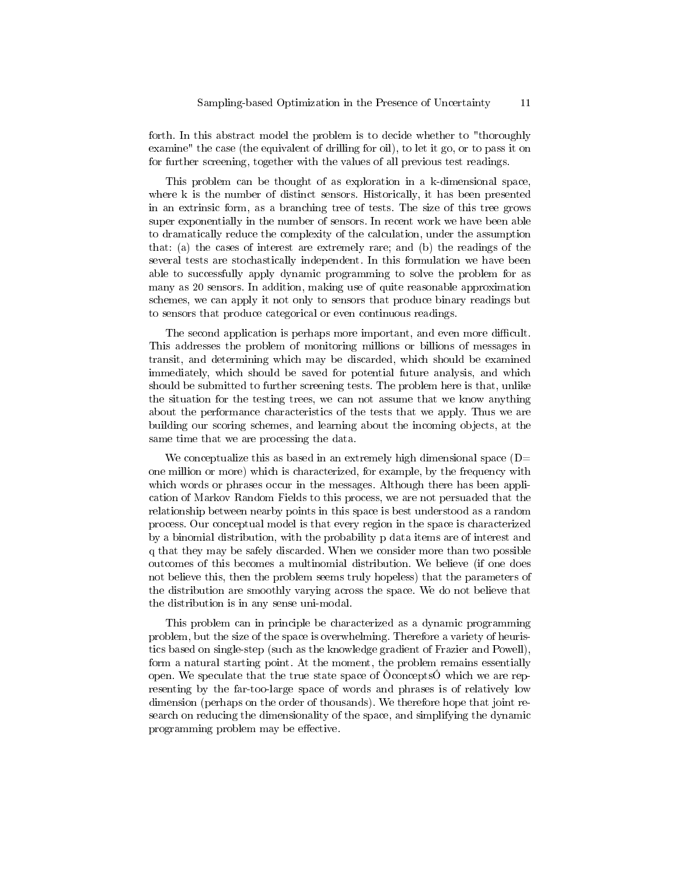forth. In this abstract model the problem is to decide whether to "thoroughly examine" the case (the equivalent of drilling for oil), to let it go, or to pass it on for further screening, together with the values of all previous test readings.

This problem can be thought of as exploration in a k-dimensional space, where k is the number of distinct sensors. Historically, it has been presented in an extrinsic form, as a branching tree of tests. The size of this tree grows super exponentially in the number of sensors. In recent work we have been able to dramatically reduce the complexity of the calculation, under the assumption that: (a) the cases of interest are extremely rare; and (b) the readings of the several tests are stochastically independent. In this formulation we have been able to successfully apply dynamic programming to solve the problem for as many as 20 sensors. In addition, making use of quite reasonable approximation schemes, we can apply it not only to sensors that produce binary readings but to sensors that produce categorical or even continuous readings.

The second application is perhaps more important, and even more difficult. This addresses the problem of monitoring millions or billions of messages in transit, and determining which may be discarded, which should be examined immediately, which should be saved for potential future analysis, and which should be submitted to further screening tests. The problem here is that, unlike the situation for the testing trees, we can not assume that we know anything about the performance characteristics of the tests that we apply. Thus we are building our scoring schemes, and learning about the incoming objects, at the same time that we are processing the data.

We conceptualize this as based in an extremely high dimensional space  $(D=$ one million or more) which is characterized, for example, by the frequency with which words or phrases occur in the messages. Although there has been application of Markov Random Fields to this process, we are not persuaded that the relationship between nearby points in this space is best understood as a random process. Our conceptual model is that every region in the space is characterized by a binomial distribution, with the probability p data items are of interest and q that they may be safely discarded. When we consider more than two possible outcomes of this becomes a multinomial distribution. We believe (if one does not believe this, then the problem seems truly hopeless) that the parameters of the distribution are smoothly varying across the space. We do not believe that the distribution is in any sense uni-modal.

This problem can in principle be characterized as a dynamic programming problem, but the size of the space is overwhelming. Therefore a variety of heuristics based on single-step (such as the knowledge gradient of Frazier and Powell), form a natural starting point. At the moment, the problem remains essentially open. We speculate that the true state space of  $\tilde{O}$ concepts $\tilde{O}$  which we are representing by the far-too-large space of words and phrases is of relatively low dimension (perhaps on the order of thousands). We therefore hope that joint research on reducing the dimensionality of the space, and simplifying the dynamic programming problem may be effective.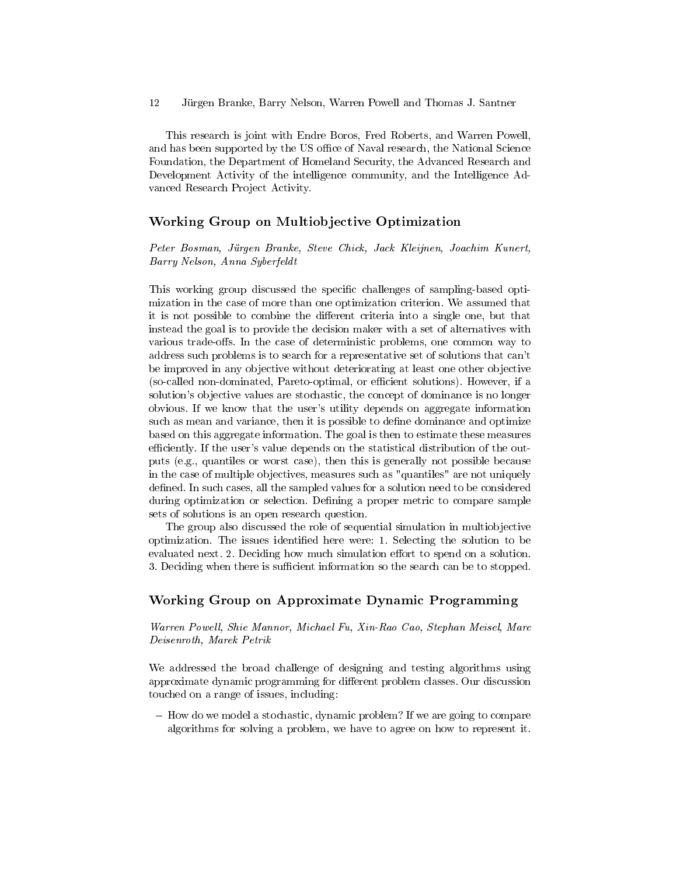This research is joint with Endre Boros, Fred Roberts, and Warren Powell, and has been supported by the US office of Naval research, the National Science Foundation, the Department of Homeland Security, the Advanced Research and Development Activity of the intelligence community, and the Intelligence Advanced Research Project Activity.

#### Working Group on Multiobjective Optimization

Peter Bosman, Jürgen Branke, Steve Chick, Jack Kleijnen, Joachim Kunert, Barry Nelson, Anna Syberfeldt

This working group discussed the specific challenges of sampling-based optimization in the case of more than one optimization criterion. We assumed that it is not possible to combine the different criteria into a single one, but that instead the goal is to provide the decision maker with a set of alternatives with various trade-offs. In the case of deterministic problems, one common way to address such problems is to search for a representative set of solutions that can't be improved in any objective without deteriorating at least one other objective (so-called non-dominated, Pareto-optimal, or efficient solutions). However, if a solution's objective values are stochastic, the concept of dominance is no longer obvious. If we know that the user's utility depends on aggregate information such as mean and variance, then it is possible to define dominance and optimize based on this aggregate information. The goal is then to estimate these measures efficiently. If the user's value depends on the statistical distribution of the outputs (e.g., quantiles or worst case), then this is generally not possible because in the case of multiple objectives, measures such as "quantiles" are not uniquely defined. In such cases, all the sampled values for a solution need to be considered during optimization or selection. Defining a proper metric to compare sample sets of solutions is an open research question.

The group also discussed the role of sequential simulation in multiobjective optimization. The issues identified here were: 1. Selecting the solution to be evaluated next. 2. Deciding how much simulation effort to spend on a solution. 3. Deciding when there is sufficient information so the search can be to stopped.

#### Working Group on Approximate Dynamic Programming

Warren Powell, Shie Mannor, Michael Fu, Xin-Rao Cao, Stephan Meisel, Marc Deisenroth, Marek Petrik

We addressed the broad challenge of designing and testing algorithms using approximate dynamic programming for different problem classes. Our discussion touched on a range of issues, including:

- How do we model a stochastic, dynamic problem? If we are going to compare algorithms for solving a problem, we have to agree on how to represent it.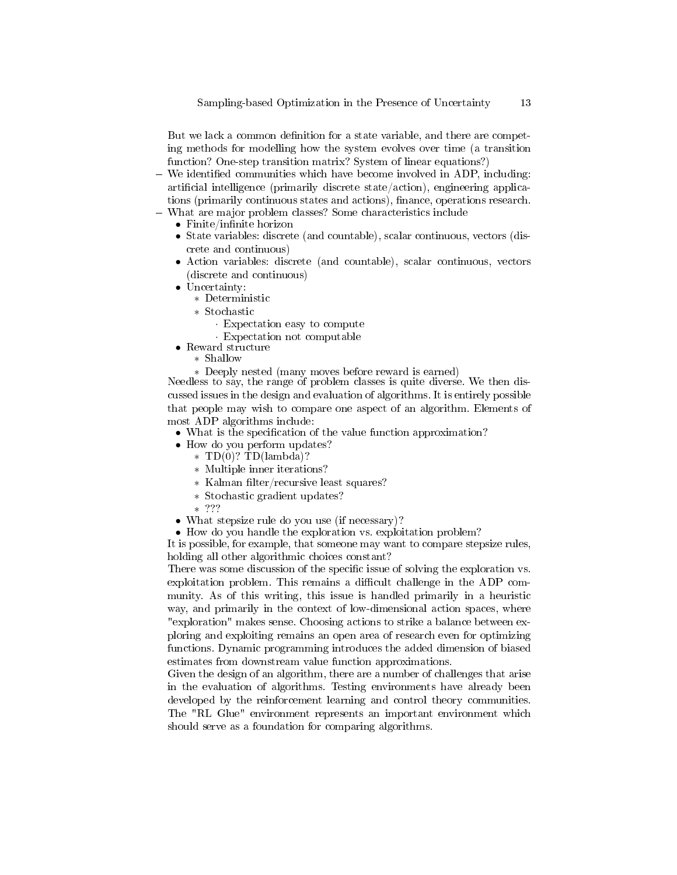But we lack a common definition for a state variable, and there are competing methods for modelling how the system evolves over time (a transition function? One-step transition matrix? System of linear equations?)

- We identified communities which have become involved in ADP, including: artificial intelligence (primarily discrete state/action), engineering applications (primarily continuous states and actions), finance, operations research.
- What are major problem classes? Some characteristics include
	- $\bullet$  Finite/infinite horizon
	- State variables: discrete (and countable), scalar continuous, vectors (discrete and continuous)
	- Action variables: discrete (and countable), scalar continuous, vectors (discrete and continuous)
	- Uncertainty:
		- ∗ Deterministic
		- ∗ Stochastic
			- · Expectation easy to compute
			- · Expectation not computable
	- Reward structure
		- ∗ Shallow
		- ∗ Deeply nested (many moves before reward is earned)

Needless to say, the range of problem classes is quite diverse. We then discussed issues in the design and evaluation of algorithms. It is entirely possible that people may wish to compare one aspect of an algorithm. Elements of most ADP algorithms include:

- What is the specification of the value function approximation?
- How do you perform updates?
	- ∗ TD(0)? TD(lambda)?
	- ∗ Multiple inner iterations?
	- ∗ Kalman lter/recursive least squares?
	- ∗ Stochastic gradient updates?
	- ∗ ???
- What stepsize rule do you use (if necessary)?
- How do you handle the exploration vs. exploitation problem?

It is possible, for example, that someone may want to compare stepsize rules, holding all other algorithmic choices constant?

There was some discussion of the specific issue of solving the exploration vs. exploitation problem. This remains a difficult challenge in the ADP community. As of this writing, this issue is handled primarily in a heuristic way, and primarily in the context of low-dimensional action spaces, where "exploration" makes sense. Choosing actions to strike a balance between exploring and exploiting remains an open area of research even for optimizing functions. Dynamic programming introduces the added dimension of biased estimates from downstream value function approximations.

Given the design of an algorithm, there are a number of challenges that arise in the evaluation of algorithms. Testing environments have already been developed by the reinforcement learning and control theory communities. The "RL Glue" environment represents an important environment which should serve as a foundation for comparing algorithms.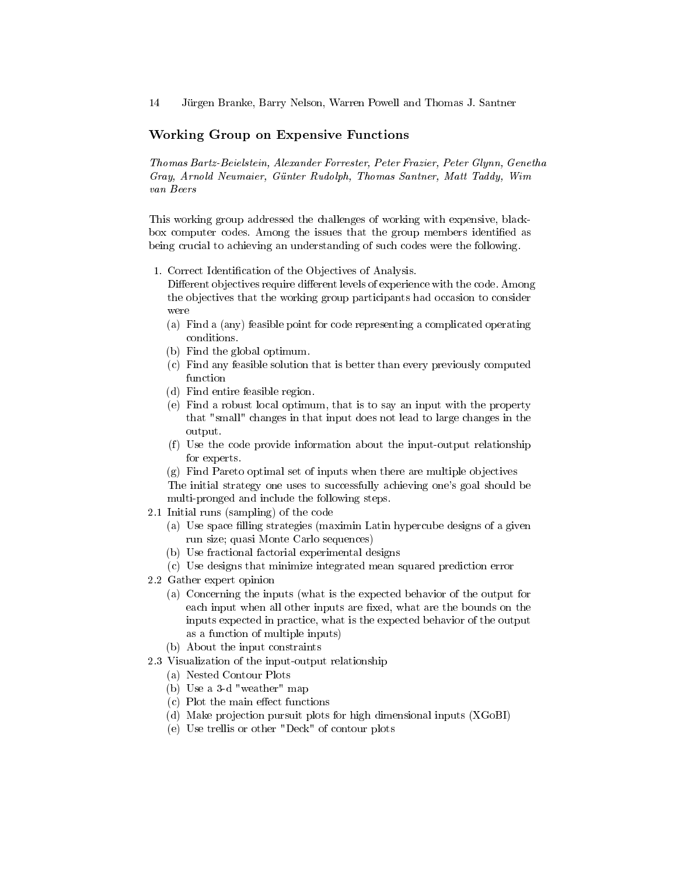#### Working Group on Expensive Functions

Thomas Bartz-Beielstein, Alexander Forrester, Peter Frazier, Peter Glynn, Genetha Gray, Arnold Neumaier, Günter Rudolph, Thomas Santner, Matt Taddy, Wim van Beers

This working group addressed the challenges of working with expensive, blackbox computer codes. Among the issues that the group members identied as being crucial to achieving an understanding of such codes were the following.

1. Correct Identification of the Objectives of Analysis.

Different objectives require different levels of experience with the code. Among the objectives that the working group participants had occasion to consider were

- (a) Find a (any) feasible point for code representing a complicated operating conditions.
- (b) Find the global optimum.
- (c) Find any feasible solution that is better than every previously computed function
- (d) Find entire feasible region.
- (e) Find a robust local optimum, that is to say an input with the property that "small" changes in that input does not lead to large changes in the output.
- (f) Use the code provide information about the input-output relationship for experts.

(g) Find Pareto optimal set of inputs when there are multiple objectives

The initial strategy one uses to successfully achieving one's goal should be multi-pronged and include the following steps.

- 2.1 Initial runs (sampling) of the code
	- (a) Use space filling strategies (maximin Latin hypercube designs of a given run size; quasi Monte Carlo sequences)
	- (b) Use fractional factorial experimental designs
	- (c) Use designs that minimize integrated mean squared prediction error
- 2.2 Gather expert opinion
	- (a) Concerning the inputs (what is the expected behavior of the output for each input when all other inputs are fixed, what are the bounds on the inputs expected in practice, what is the expected behavior of the output as a function of multiple inputs)
	- (b) About the input constraints
- 2.3 Visualization of the input-output relationship
	- (a) Nested Contour Plots
	- (b) Use a 3-d "weather" map
	- $(c)$  Plot the main effect functions
	- (d) Make projection pursuit plots for high dimensional inputs (XGoBI)
	- (e) Use trellis or other "Deck" of contour plots